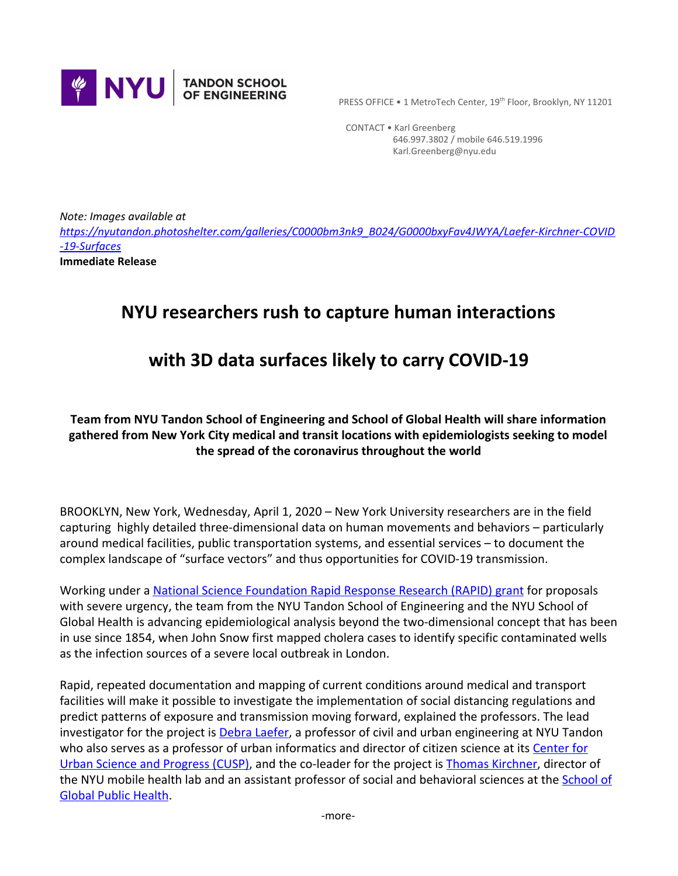

PRESS OFFICE • 1 MetroTech Center, 19<sup>th</sup> Floor, Brooklyn, NY 11201

 CONTACT • Karl Greenberg 646.997.3802 / mobile 646.519.1996 Karl.Greenberg@nyu.edu

*Note: Images available at [https://nyutandon.photoshelter.com/galleries/C0000bm3nk9\\_B024/G0000bxyFav4JWYA/Laefer-Kirchner-COVID](https://nyutandon.photoshelter.com/galleries/C0000bm3nk9_B024/G0000bxyFav4JWYA/Laefer-Kirchner-COVID-19-Surfaces) [-19-Surfaces](https://nyutandon.photoshelter.com/galleries/C0000bm3nk9_B024/G0000bxyFav4JWYA/Laefer-Kirchner-COVID-19-Surfaces)* **Immediate Release**

# **NYU researchers rush to capture human interactions**

# **with 3D data surfaces likely to carry COVID-19**

### **Team from NYU Tandon School of Engineering and School of Global Health will share information gathered from New York City medical and transit locations with epidemiologists seeking to model the spread of the coronavirus throughout the world**

BROOKLYN, New York, Wednesday, April 1, 2020 – New York University researchers are in the field capturing highly detailed three-dimensional data on human movements and behaviors – particularly around medical facilities, public transportation systems, and essential services – to document the complex landscape of "surface vectors" and thus opportunities for COVID-19 transmission.

Working under a [National Science Foundation Rapid Response Research \(RAPID\) grant](https://www.nsf.gov/awardsearch/showAward?AWD_ID=2027293&HistoricalAwards=false) for proposals with severe urgency, the team from the NYU Tandon School of Engineering and the NYU School of Global Health is advancing epidemiological analysis beyond the two-dimensional concept that has been in use since 1854, when John Snow first mapped cholera cases to identify specific contaminated wells as the infection sources of a severe local outbreak in London.

Rapid, repeated documentation and mapping of current conditions around medical and transport facilities will make it possible to investigate the implementation of social distancing regulations and predict patterns of exposure and transmission moving forward, explained the professors. The lead investigator for the project is **Debra Laefer**, a professor of civil and urban engineering at NYU Tandon who also serves as a professor of urban informatics and director of citizen science at its [Center for](https://engineering.nyu.edu/center-urban-science-and-progress-cusp) [Urban Science and Progress \(CUSP\)](https://engineering.nyu.edu/center-urban-science-and-progress-cusp), and the co-leader for the project is [Thomas Kirchner](https://publichealth.nyu.edu/faculty/thomas-kirchner), director of the NYU mobile health lab and an assistant professor of social and behavioral sciences at the [School of](https://publichealth.nyu.edu/) [Global Public Health](https://publichealth.nyu.edu/).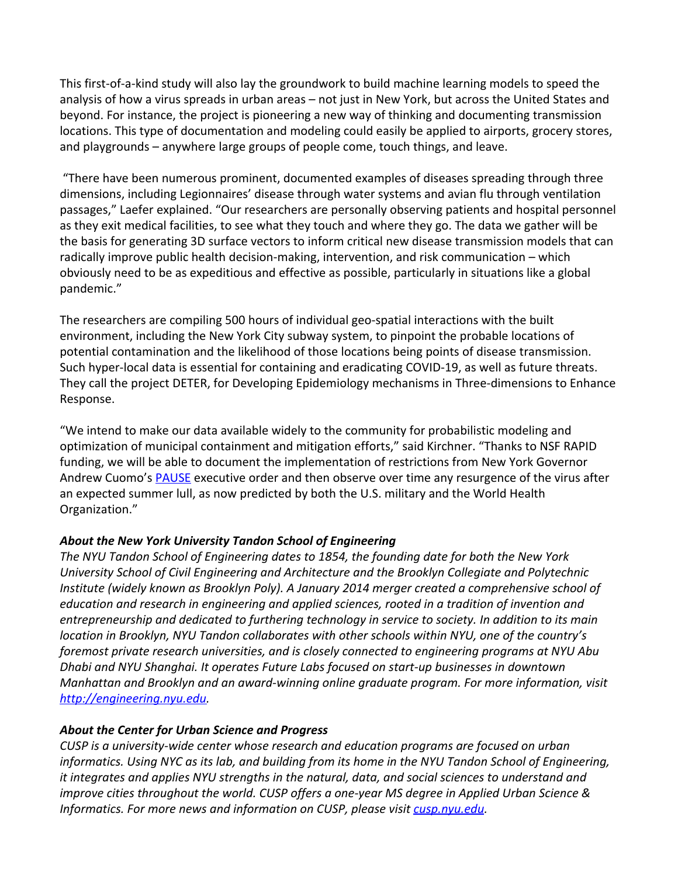This first-of-a-kind study will also lay the groundwork to build machine learning models to speed the analysis of how a virus spreads in urban areas – not just in New York, but across the United States and beyond. For instance, the project is pioneering a new way of thinking and documenting transmission locations. This type of documentation and modeling could easily be applied to airports, grocery stores, and playgrounds – anywhere large groups of people come, touch things, and leave.

 "There have been numerous prominent, documented examples of diseases spreading through three dimensions, including Legionnaires' disease through water systems and avian flu through ventilation passages," Laefer explained. "Our researchers are personally observing patients and hospital personnel as they exit medical facilities, to see what they touch and where they go. The data we gather will be the basis for generating 3D surface vectors to inform critical new disease transmission models that can radically improve public health decision-making, intervention, and risk communication – which obviously need to be as expeditious and effective as possible, particularly in situations like a global pandemic."

The researchers are compiling 500 hours of individual geo-spatial interactions with the built environment, including the New York City subway system, to pinpoint the probable locations of potential contamination and the likelihood of those locations being points of disease transmission. Such hyper-local data is essential for containing and eradicating COVID-19, as well as future threats. They call the project DETER, for Developing Epidemiology mechanisms in Three-dimensions to Enhance Response.

"We intend to make our data available widely to the community for probabilistic modeling and optimization of municipal containment and mitigation efforts," said Kirchner. "Thanks to NSF RAPID funding, we will be able to document the implementation of restrictions from New York Governor Andrew Cuomo's [PAUSE](https://www.governor.ny.gov/news/governor-cuomo-signs-new-york-state-pause-executive-order) executive order and then observe over time any resurgence of the virus after an expected summer lull, as now predicted by both the U.S. military and the World Health Organization."

### *About the New York University Tandon School of Engineering*

*The NYU Tandon School of Engineering dates to 1854, the founding date for both the New York University School of Civil Engineering and Architecture and the Brooklyn Collegiate and Polytechnic Institute (widely known as Brooklyn Poly). A January 2014 merger created a comprehensive school of education and research in engineering and applied sciences, rooted in a tradition of invention and entrepreneurship and dedicated to furthering technology in service to society. In addition to its main location in Brooklyn, NYU Tandon collaborates with other schools within NYU, one of the country's foremost private research universities, and is closely connected to engineering programs at NYU Abu Dhabi and NYU Shanghai. It operates Future Labs focused on start-up businesses in downtown Manhattan and Brooklyn and an award-winning online graduate program. For more information, visit [http://engineering.nyu.edu.](http://engineering.nyu.edu/)*

### *About the Center for Urban Science and Progress*

*CUSP is a university-wide center whose research and education programs are focused on urban informatics. Using NYC as its lab, and building from its home in the NYU Tandon School of Engineering, it integrates and applies NYU strengths in the natural, data, and social sciences to understand and improve cities throughout the world. CUSP offers a one-year MS degree in Applied Urban Science & Informatics. For more news and information on CUSP, please visit <i>[cusp.nyu.edu](https://cusp.nyu.edu/)*.